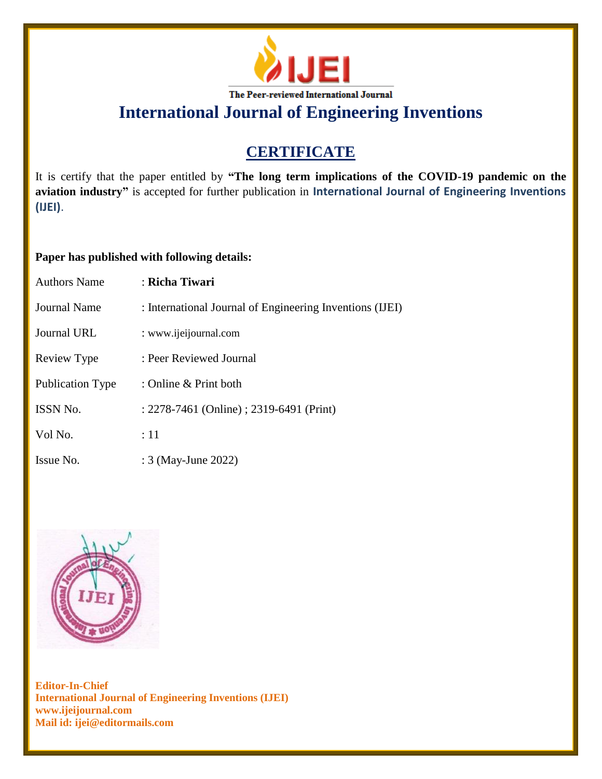

**International Journal of Engineering Inventions**

## **CERTIFICATE**

It is certify that the paper entitled by **"The long term implications of the COVID-19 pandemic on the aviation industry"** is accepted for further publication in **International Journal of Engineering Inventions (IJEI)**.

## **Paper has published with following details:**

| <b>Authors Name</b> | : Richa Tiwari                                           |
|---------------------|----------------------------------------------------------|
| Journal Name        | : International Journal of Engineering Inventions (IJEI) |
| Journal URL         | : www.ijeijournal.com                                    |
| Review Type         | : Peer Reviewed Journal                                  |
| Publication Type    | : Online & Print both                                    |
| <b>ISSN No.</b>     | : 2278-7461 (Online) ; 2319-6491 (Print)                 |
| Vol No.             | :11                                                      |
| Issue No.           | : 3 (May-June 2022)                                      |



**Editor-In-Chief International Journal of Engineering Inventions (IJEI) www.ijeijournal.com Mail id: ijei@editormails.com**